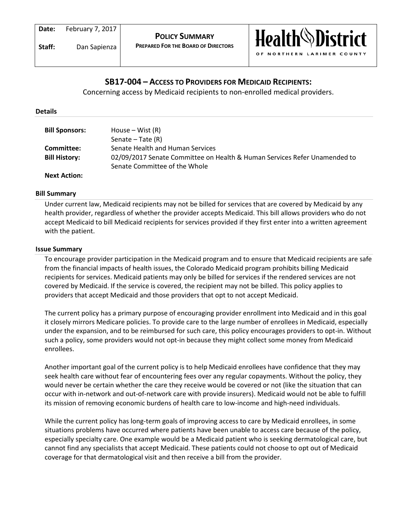

# **SB17-004 – ACCESS TO PROVIDERS FOR MEDICAID RECIPIENTS:**

Concerning access by Medicaid recipients to non-enrolled medical providers.

### **Details**

| <b>Bill Sponsors:</b> | House – Wist $(R)$<br>Senate $-$ Tate $(R)$                               |
|-----------------------|---------------------------------------------------------------------------|
| Committee:            | Senate Health and Human Services                                          |
| <b>Bill History:</b>  | 02/09/2017 Senate Committee on Health & Human Services Refer Unamended to |
|                       | Senate Committee of the Whole                                             |
| <b>Next Action:</b>   |                                                                           |

# **Bill Summary**

Under current law, Medicaid recipients may not be billed for services that are covered by Medicaid by any health provider, regardless of whether the provider accepts Medicaid. This bill allows providers who do not accept Medicaid to bill Medicaid recipients for services provided if they first enter into a written agreement with the patient.

#### **Issue Summary**

To encourage provider participation in the Medicaid program and to ensure that Medicaid recipients are safe from the financial impacts of health issues, the Colorado Medicaid program prohibits billing Medicaid recipients for services. Medicaid patients may only be billed for services if the rendered services are not covered by Medicaid. If the service is covered, the recipient may not be billed. This policy applies to providers that accept Medicaid and those providers that opt to not accept Medicaid.

The current policy has a primary purpose of encouraging provider enrollment into Medicaid and in this goal it closely mirrors Medicare policies. To provide care to the large number of enrollees in Medicaid, especially under the expansion, and to be reimbursed for such care, this policy encourages providers to opt-in. Without such a policy, some providers would not opt-in because they might collect some money from Medicaid enrollees.

Another important goal of the current policy is to help Medicaid enrollees have confidence that they may seek health care without fear of encountering fees over any regular copayments. Without the policy, they would never be certain whether the care they receive would be covered or not (like the situation that can occur with in-network and out-of-network care with provide insurers). Medicaid would not be able to fulfill its mission of removing economic burdens of health care to low-income and high-need individuals.

While the current policy has long-term goals of improving access to care by Medicaid enrollees, in some situations problems have occurred where patients have been unable to access care because of the policy, especially specialty care. One example would be a Medicaid patient who is seeking dermatological care, but cannot find any specialists that accept Medicaid. These patients could not choose to opt out of Medicaid coverage for that dermatological visit and then receive a bill from the provider.